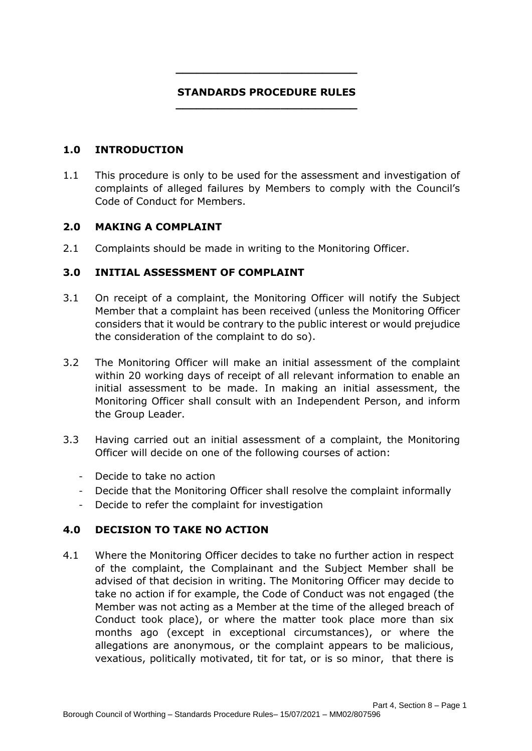#### **STANDARDS PROCEDURE RULES \_\_\_\_\_\_\_\_\_\_\_\_\_\_\_\_\_\_\_\_\_\_\_\_\_\_**

**\_\_\_\_\_\_\_\_\_\_\_\_\_\_\_\_\_\_\_\_\_\_\_\_\_\_**

### **1.0 INTRODUCTION**

1.1 This procedure is only to be used for the assessment and investigation of complaints of alleged failures by Members to comply with the Council's Code of Conduct for Members.

### **2.0 MAKING A COMPLAINT**

2.1 Complaints should be made in writing to the Monitoring Officer.

# **3.0 INITIAL ASSESSMENT OF COMPLAINT**

- 3.1 On receipt of a complaint, the Monitoring Officer will notify the Subject Member that a complaint has been received (unless the Monitoring Officer considers that it would be contrary to the public interest or would prejudice the consideration of the complaint to do so).
- 3.2 The Monitoring Officer will make an initial assessment of the complaint within 20 working days of receipt of all relevant information to enable an initial assessment to be made. In making an initial assessment, the Monitoring Officer shall consult with an Independent Person, and inform the Group Leader.
- 3.3 Having carried out an initial assessment of a complaint, the Monitoring Officer will decide on one of the following courses of action:
	- ‐ Decide to take no action
	- ‐ Decide that the Monitoring Officer shall resolve the complaint informally
	- ‐ Decide to refer the complaint for investigation

# **4.0 DECISION TO TAKE NO ACTION**

4.1 Where the Monitoring Officer decides to take no further action in respect of the complaint, the Complainant and the Subject Member shall be advised of that decision in writing. The Monitoring Officer may decide to take no action if for example, the Code of Conduct was not engaged (the Member was not acting as a Member at the time of the alleged breach of Conduct took place), or where the matter took place more than six months ago (except in exceptional circumstances), or where the allegations are anonymous, or the complaint appears to be malicious, vexatious, politically motivated, tit for tat, or is so minor, that there is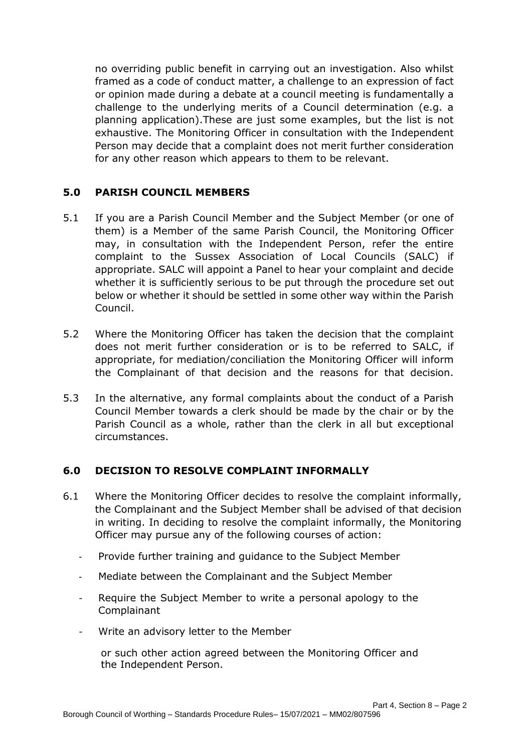no overriding public benefit in carrying out an investigation. Also whilst framed as a code of conduct matter, a challenge to an expression of fact or opinion made during a debate at a council meeting is fundamentally a challenge to the underlying merits of a Council determination (e.g. a planning application).These are just some examples, but the list is not exhaustive. The Monitoring Officer in consultation with the Independent Person may decide that a complaint does not merit further consideration for any other reason which appears to them to be relevant.

# **5.0 PARISH COUNCIL MEMBERS**

- 5.1 If you are a Parish Council Member and the Subject Member (or one of them) is a Member of the same Parish Council, the Monitoring Officer may, in consultation with the Independent Person, refer the entire complaint to the Sussex Association of Local Councils (SALC) if appropriate. SALC will appoint a Panel to hear your complaint and decide whether it is sufficiently serious to be put through the procedure set out below or whether it should be settled in some other way within the Parish Council.
- 5.2 Where the Monitoring Officer has taken the decision that the complaint does not merit further consideration or is to be referred to SALC, if appropriate, for mediation/conciliation the Monitoring Officer will inform the Complainant of that decision and the reasons for that decision.
- 5.3 In the alternative, any formal complaints about the conduct of a Parish Council Member towards a clerk should be made by the chair or by the Parish Council as a whole, rather than the clerk in all but exceptional circumstances.

# **6.0 DECISION TO RESOLVE COMPLAINT INFORMALLY**

- 6.1 Where the Monitoring Officer decides to resolve the complaint informally, the Complainant and the Subject Member shall be advised of that decision in writing. In deciding to resolve the complaint informally, the Monitoring Officer may pursue any of the following courses of action:
	- ‐ Provide further training and guidance to the Subject Member
	- ‐ Mediate between the Complainant and the Subject Member
	- Require the Subject Member to write a personal apology to the Complainant
	- ‐ Write an advisory letter to the Member

or such other action agreed between the Monitoring Officer and the Independent Person.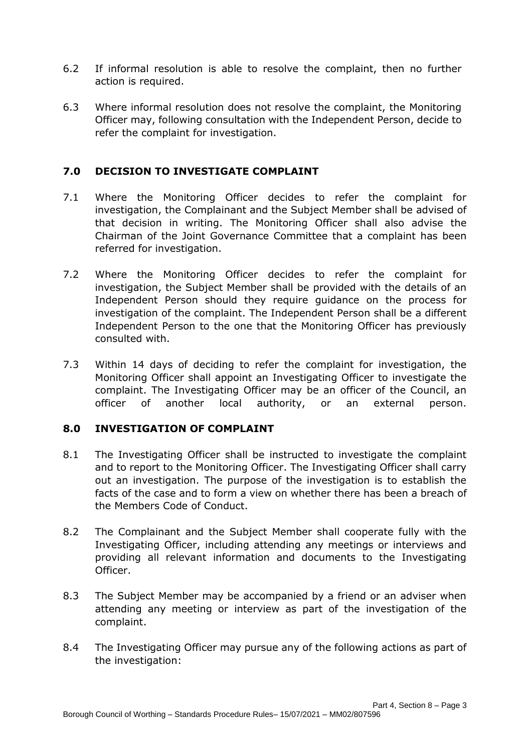- 6.2 If informal resolution is able to resolve the complaint, then no further action is required.
- 6.3 Where informal resolution does not resolve the complaint, the Monitoring Officer may, following consultation with the Independent Person, decide to refer the complaint for investigation.

# **7.0 DECISION TO INVESTIGATE COMPLAINT**

- 7.1 Where the Monitoring Officer decides to refer the complaint for investigation, the Complainant and the Subject Member shall be advised of that decision in writing. The Monitoring Officer shall also advise the Chairman of the Joint Governance Committee that a complaint has been referred for investigation.
- 7.2 Where the Monitoring Officer decides to refer the complaint for investigation, the Subject Member shall be provided with the details of an Independent Person should they require guidance on the process for investigation of the complaint. The Independent Person shall be a different Independent Person to the one that the Monitoring Officer has previously consulted with.
- 7.3 Within 14 days of deciding to refer the complaint for investigation, the Monitoring Officer shall appoint an Investigating Officer to investigate the complaint. The Investigating Officer may be an officer of the Council, an officer of another local authority, or an external person.

# **8.0 INVESTIGATION OF COMPLAINT**

- 8.1 The Investigating Officer shall be instructed to investigate the complaint and to report to the Monitoring Officer. The Investigating Officer shall carry out an investigation. The purpose of the investigation is to establish the facts of the case and to form a view on whether there has been a breach of the Members Code of Conduct.
- 8.2 The Complainant and the Subject Member shall cooperate fully with the Investigating Officer, including attending any meetings or interviews and providing all relevant information and documents to the Investigating Officer.
- 8.3 The Subject Member may be accompanied by a friend or an adviser when attending any meeting or interview as part of the investigation of the complaint.
- 8.4 The Investigating Officer may pursue any of the following actions as part of the investigation: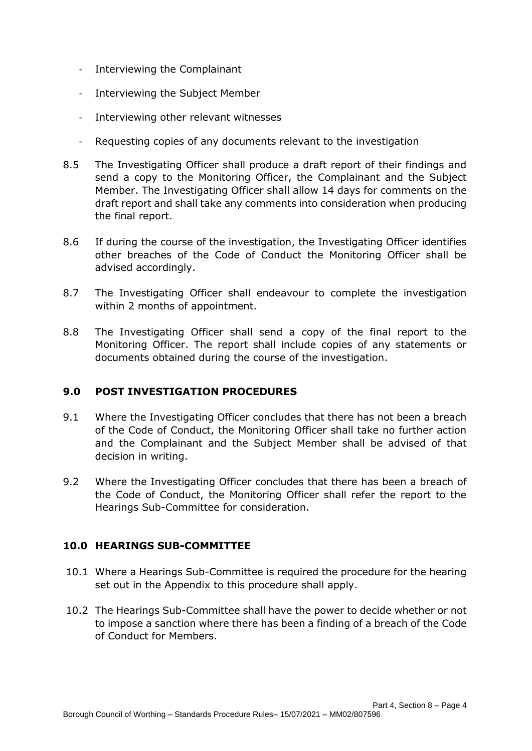- ‐ Interviewing the Complainant
- ‐ Interviewing the Subject Member
- ‐ Interviewing other relevant witnesses
- ‐ Requesting copies of any documents relevant to the investigation
- 8.5 The Investigating Officer shall produce a draft report of their findings and send a copy to the Monitoring Officer, the Complainant and the Subject Member. The Investigating Officer shall allow 14 days for comments on the draft report and shall take any comments into consideration when producing the final report.
- 8.6 If during the course of the investigation, the Investigating Officer identifies other breaches of the Code of Conduct the Monitoring Officer shall be advised accordingly.
- 8.7 The Investigating Officer shall endeavour to complete the investigation within 2 months of appointment.
- 8.8 The Investigating Officer shall send a copy of the final report to the Monitoring Officer. The report shall include copies of any statements or documents obtained during the course of the investigation.

# **9.0 POST INVESTIGATION PROCEDURES**

- 9.1 Where the Investigating Officer concludes that there has not been a breach of the Code of Conduct, the Monitoring Officer shall take no further action and the Complainant and the Subject Member shall be advised of that decision in writing.
- 9.2 Where the Investigating Officer concludes that there has been a breach of the Code of Conduct, the Monitoring Officer shall refer the report to the Hearings Sub-Committee for consideration.

#### **10.0 HEARINGS SUB-COMMITTEE**

- 10.1 Where a Hearings Sub-Committee is required the procedure for the hearing set out in the Appendix to this procedure shall apply.
- 10.2 The Hearings Sub-Committee shall have the power to decide whether or not to impose a sanction where there has been a finding of a breach of the Code of Conduct for Members.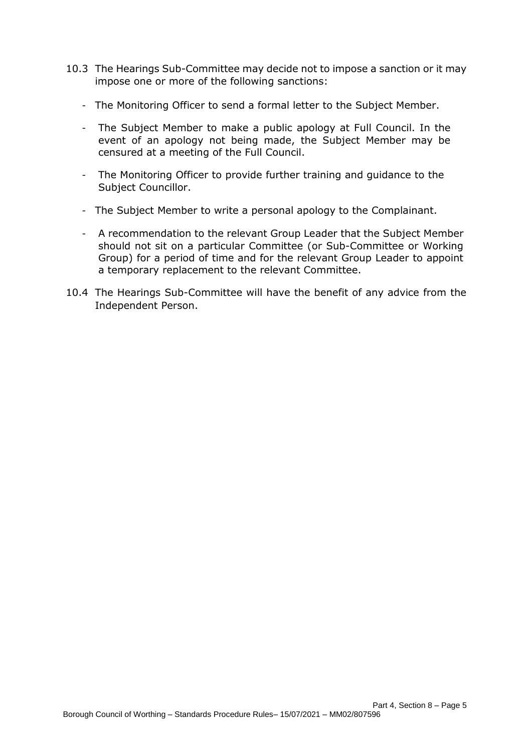- 10.3 The Hearings Sub-Committee may decide not to impose a sanction or it may impose one or more of the following sanctions:
	- ‐ The Monitoring Officer to send a formal letter to the Subject Member.
	- ‐ The Subject Member to make a public apology at Full Council. In the event of an apology not being made, the Subject Member may be censured at a meeting of the Full Council.
	- ‐ The Monitoring Officer to provide further training and guidance to the Subject Councillor.
	- ‐ The Subject Member to write a personal apology to the Complainant.
	- ‐ A recommendation to the relevant Group Leader that the Subject Member should not sit on a particular Committee (or Sub-Committee or Working Group) for a period of time and for the relevant Group Leader to appoint a temporary replacement to the relevant Committee.
- 10.4 The Hearings Sub-Committee will have the benefit of any advice from the Independent Person.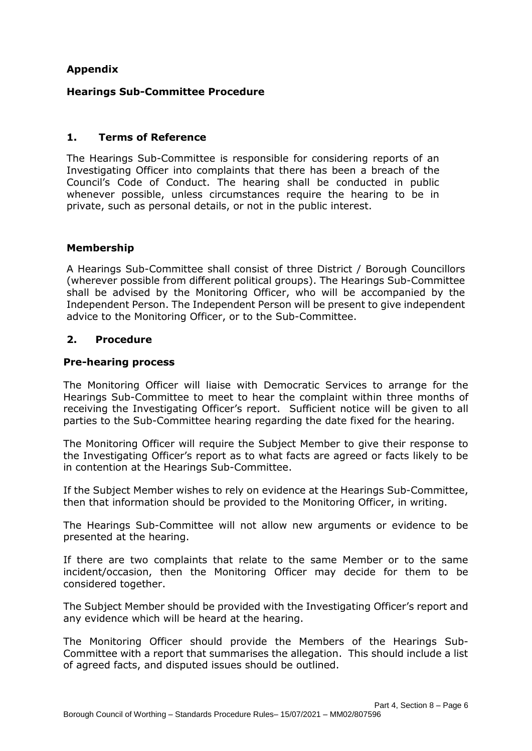# **Appendix**

# **Hearings Sub-Committee Procedure**

# **1. Terms of Reference**

The Hearings Sub-Committee is responsible for considering reports of an Investigating Officer into complaints that there has been a breach of the Council's Code of Conduct. The hearing shall be conducted in public whenever possible, unless circumstances require the hearing to be in private, such as personal details, or not in the public interest.

### **Membership**

A Hearings Sub-Committee shall consist of three District / Borough Councillors (wherever possible from different political groups). The Hearings Sub-Committee shall be advised by the Monitoring Officer, who will be accompanied by the Independent Person. The Independent Person will be present to give independent advice to the Monitoring Officer, or to the Sub-Committee.

### **2. Procedure**

### **Pre-hearing process**

The Monitoring Officer will liaise with Democratic Services to arrange for the Hearings Sub-Committee to meet to hear the complaint within three months of receiving the Investigating Officer's report. Sufficient notice will be given to all parties to the Sub-Committee hearing regarding the date fixed for the hearing.

The Monitoring Officer will require the Subject Member to give their response to the Investigating Officer's report as to what facts are agreed or facts likely to be in contention at the Hearings Sub-Committee.

If the Subject Member wishes to rely on evidence at the Hearings Sub-Committee, then that information should be provided to the Monitoring Officer, in writing.

The Hearings Sub-Committee will not allow new arguments or evidence to be presented at the hearing.

If there are two complaints that relate to the same Member or to the same incident/occasion, then the Monitoring Officer may decide for them to be considered together.

The Subject Member should be provided with the Investigating Officer's report and any evidence which will be heard at the hearing.

The Monitoring Officer should provide the Members of the Hearings Sub-Committee with a report that summarises the allegation. This should include a list of agreed facts, and disputed issues should be outlined.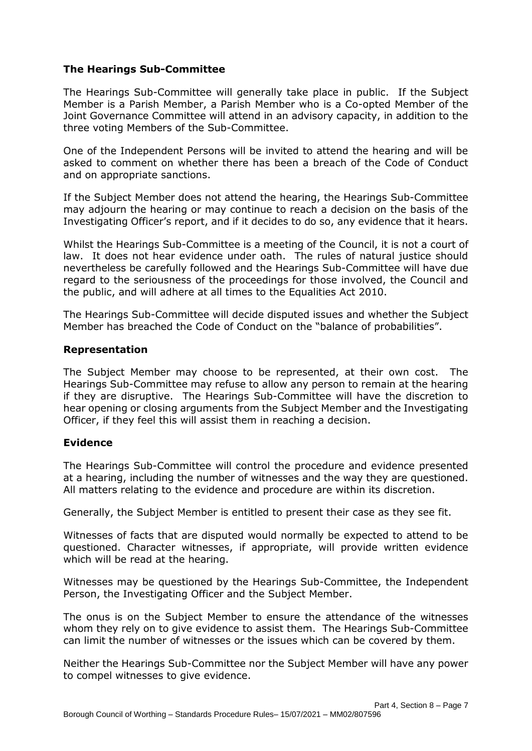# **The Hearings Sub-Committee**

The Hearings Sub-Committee will generally take place in public. If the Subject Member is a Parish Member, a Parish Member who is a Co-opted Member of the Joint Governance Committee will attend in an advisory capacity, in addition to the three voting Members of the Sub-Committee.

One of the Independent Persons will be invited to attend the hearing and will be asked to comment on whether there has been a breach of the Code of Conduct and on appropriate sanctions.

If the Subject Member does not attend the hearing, the Hearings Sub-Committee may adjourn the hearing or may continue to reach a decision on the basis of the Investigating Officer's report, and if it decides to do so, any evidence that it hears.

Whilst the Hearings Sub-Committee is a meeting of the Council, it is not a court of law. It does not hear evidence under oath. The rules of natural justice should nevertheless be carefully followed and the Hearings Sub-Committee will have due regard to the seriousness of the proceedings for those involved, the Council and the public, and will adhere at all times to the Equalities Act 2010.

The Hearings Sub-Committee will decide disputed issues and whether the Subject Member has breached the Code of Conduct on the "balance of probabilities".

### **Representation**

The Subject Member may choose to be represented, at their own cost. The Hearings Sub-Committee may refuse to allow any person to remain at the hearing if they are disruptive. The Hearings Sub-Committee will have the discretion to hear opening or closing arguments from the Subject Member and the Investigating Officer, if they feel this will assist them in reaching a decision.

# **Evidence**

The Hearings Sub-Committee will control the procedure and evidence presented at a hearing, including the number of witnesses and the way they are questioned. All matters relating to the evidence and procedure are within its discretion.

Generally, the Subject Member is entitled to present their case as they see fit.

Witnesses of facts that are disputed would normally be expected to attend to be questioned. Character witnesses, if appropriate, will provide written evidence which will be read at the hearing.

Witnesses may be questioned by the Hearings Sub-Committee, the Independent Person, the Investigating Officer and the Subject Member.

The onus is on the Subject Member to ensure the attendance of the witnesses whom they rely on to give evidence to assist them. The Hearings Sub-Committee can limit the number of witnesses or the issues which can be covered by them.

Neither the Hearings Sub-Committee nor the Subject Member will have any power to compel witnesses to give evidence.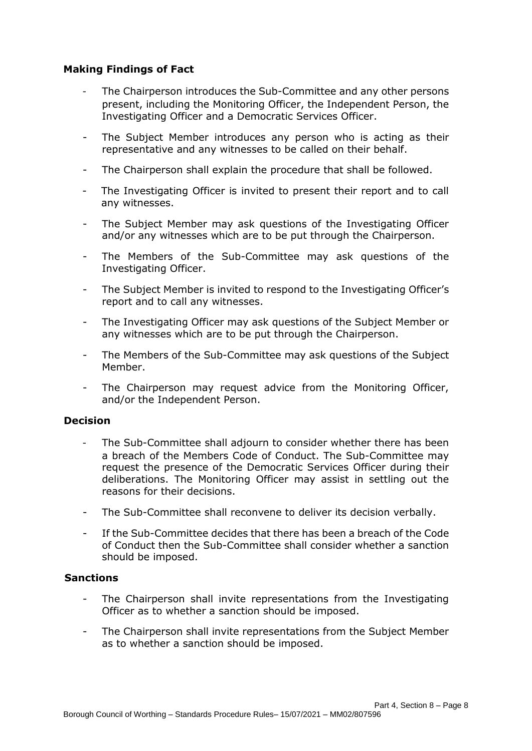# **Making Findings of Fact**

- The Chairperson introduces the Sub-Committee and any other persons present, including the Monitoring Officer, the Independent Person, the Investigating Officer and a Democratic Services Officer.
- The Subject Member introduces any person who is acting as their representative and any witnesses to be called on their behalf.
- The Chairperson shall explain the procedure that shall be followed.
- The Investigating Officer is invited to present their report and to call any witnesses.
- The Subject Member may ask questions of the Investigating Officer and/or any witnesses which are to be put through the Chairperson.
- The Members of the Sub-Committee may ask questions of the Investigating Officer.
- The Subject Member is invited to respond to the Investigating Officer's report and to call any witnesses.
- The Investigating Officer may ask questions of the Subject Member or any witnesses which are to be put through the Chairperson.
- The Members of the Sub-Committee may ask questions of the Subject Member.
- The Chairperson may request advice from the Monitoring Officer, and/or the Independent Person.

#### **Decision**

- The Sub-Committee shall adjourn to consider whether there has been a breach of the Members Code of Conduct. The Sub-Committee may request the presence of the Democratic Services Officer during their deliberations. The Monitoring Officer may assist in settling out the reasons for their decisions.
- The Sub-Committee shall reconvene to deliver its decision verbally.
- If the Sub-Committee decides that there has been a breach of the Code of Conduct then the Sub-Committee shall consider whether a sanction should be imposed.

#### **Sanctions**

- The Chairperson shall invite representations from the Investigating Officer as to whether a sanction should be imposed.
- The Chairperson shall invite representations from the Subject Member as to whether a sanction should be imposed.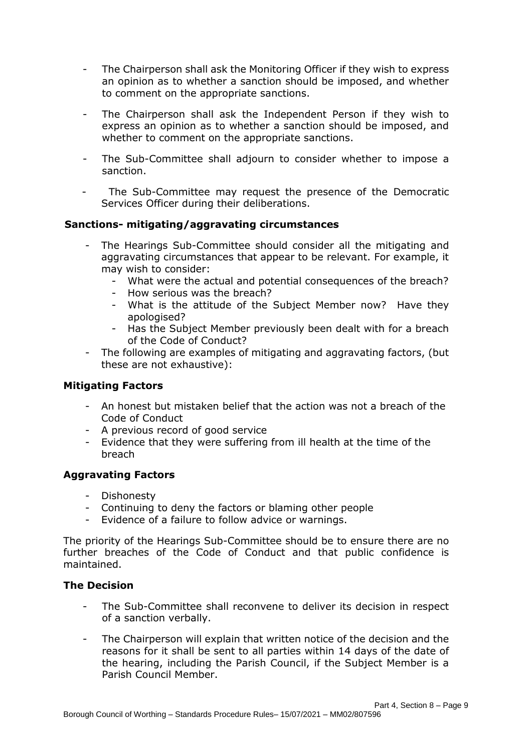- The Chairperson shall ask the Monitoring Officer if they wish to express an opinion as to whether a sanction should be imposed, and whether to comment on the appropriate sanctions.
- The Chairperson shall ask the Independent Person if they wish to express an opinion as to whether a sanction should be imposed, and whether to comment on the appropriate sanctions.
- The Sub-Committee shall adjourn to consider whether to impose a sanction.
- The Sub-Committee may request the presence of the Democratic Services Officer during their deliberations.

# **Sanctions- mitigating/aggravating circumstances**

- The Hearings Sub-Committee should consider all the mitigating and aggravating circumstances that appear to be relevant. For example, it may wish to consider:
	- What were the actual and potential consequences of the breach?
	- How serious was the breach?
	- What is the attitude of the Subject Member now? Have they apologised?
	- Has the Subject Member previously been dealt with for a breach of the Code of Conduct?
- The following are examples of mitigating and aggravating factors, (but these are not exhaustive):

# **Mitigating Factors**

- An honest but mistaken belief that the action was not a breach of the Code of Conduct
- A previous record of good service
- Evidence that they were suffering from ill health at the time of the breach

# **Aggravating Factors**

- Dishonesty
- Continuing to deny the factors or blaming other people
- Evidence of a failure to follow advice or warnings.

The priority of the Hearings Sub-Committee should be to ensure there are no further breaches of the Code of Conduct and that public confidence is maintained.

# **The Decision**

- The Sub-Committee shall reconvene to deliver its decision in respect of a sanction verbally.
- The Chairperson will explain that written notice of the decision and the reasons for it shall be sent to all parties within 14 days of the date of the hearing, including the Parish Council, if the Subject Member is a Parish Council Member.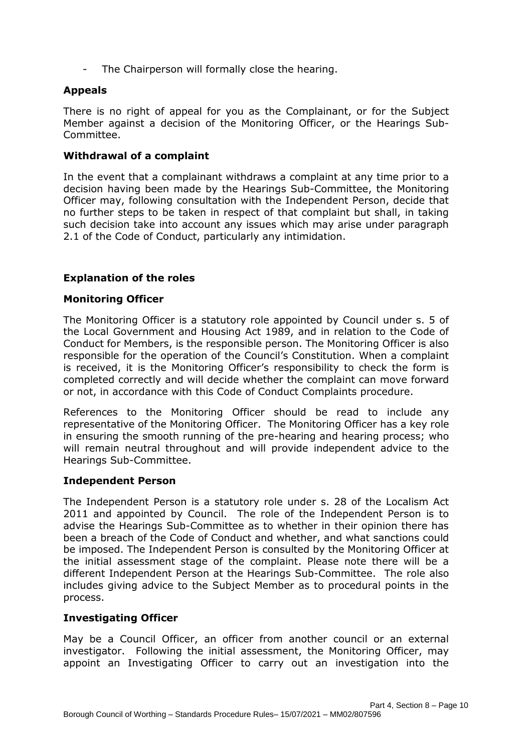The Chairperson will formally close the hearing.

# **Appeals**

There is no right of appeal for you as the Complainant, or for the Subject Member against a decision of the Monitoring Officer, or the Hearings Sub-Committee.

### **Withdrawal of a complaint**

In the event that a complainant withdraws a complaint at any time prior to a decision having been made by the Hearings Sub-Committee, the Monitoring Officer may, following consultation with the Independent Person, decide that no further steps to be taken in respect of that complaint but shall, in taking such decision take into account any issues which may arise under paragraph 2.1 of the Code of Conduct, particularly any intimidation.

### **Explanation of the roles**

#### **Monitoring Officer**

The Monitoring Officer is a statutory role appointed by Council under s. 5 of the Local Government and Housing Act 1989, and in relation to the Code of Conduct for Members, is the responsible person. The Monitoring Officer is also responsible for the operation of the Council's Constitution. When a complaint is received, it is the Monitoring Officer's responsibility to check the form is completed correctly and will decide whether the complaint can move forward or not, in accordance with this Code of Conduct Complaints procedure.

References to the Monitoring Officer should be read to include any representative of the Monitoring Officer. The Monitoring Officer has a key role in ensuring the smooth running of the pre-hearing and hearing process; who will remain neutral throughout and will provide independent advice to the Hearings Sub-Committee.

#### **Independent Person**

The Independent Person is a statutory role under s. 28 of the Localism Act 2011 and appointed by Council. The role of the Independent Person is to advise the Hearings Sub-Committee as to whether in their opinion there has been a breach of the Code of Conduct and whether, and what sanctions could be imposed. The Independent Person is consulted by the Monitoring Officer at the initial assessment stage of the complaint. Please note there will be a different Independent Person at the Hearings Sub-Committee. The role also includes giving advice to the Subject Member as to procedural points in the process.

# **Investigating Officer**

May be a Council Officer, an officer from another council or an external investigator. Following the initial assessment, the Monitoring Officer, may appoint an Investigating Officer to carry out an investigation into the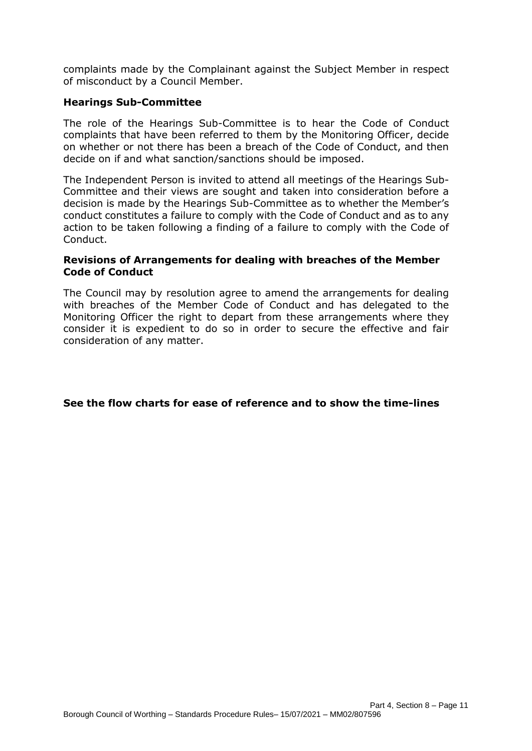complaints made by the Complainant against the Subject Member in respect of misconduct by a Council Member.

# **Hearings Sub-Committee**

The role of the Hearings Sub-Committee is to hear the Code of Conduct complaints that have been referred to them by the Monitoring Officer, decide on whether or not there has been a breach of the Code of Conduct, and then decide on if and what sanction/sanctions should be imposed.

The Independent Person is invited to attend all meetings of the Hearings Sub-Committee and their views are sought and taken into consideration before a decision is made by the Hearings Sub-Committee as to whether the Member's conduct constitutes a failure to comply with the Code of Conduct and as to any action to be taken following a finding of a failure to comply with the Code of Conduct.

#### **Revisions of Arrangements for dealing with breaches of the Member Code of Conduct**

The Council may by resolution agree to amend the arrangements for dealing with breaches of the Member Code of Conduct and has delegated to the Monitoring Officer the right to depart from these arrangements where they consider it is expedient to do so in order to secure the effective and fair consideration of any matter.

#### **See the flow charts for ease of reference and to show the time-lines**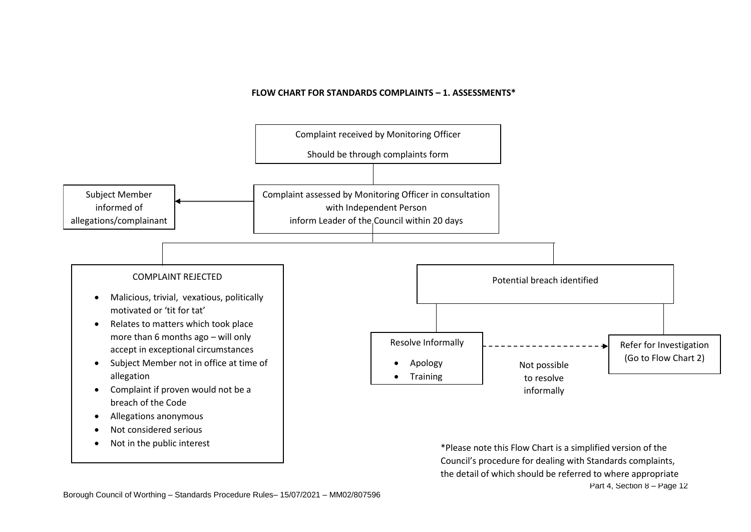#### **FLOW CHART FOR STANDARDS COMPLAINTS – 1. ASSESSMENTS\***



Part 4, Section 8 – Page 12 Council's procedure for dealing with Standards complaints, the detail of which should be referred to where appropriate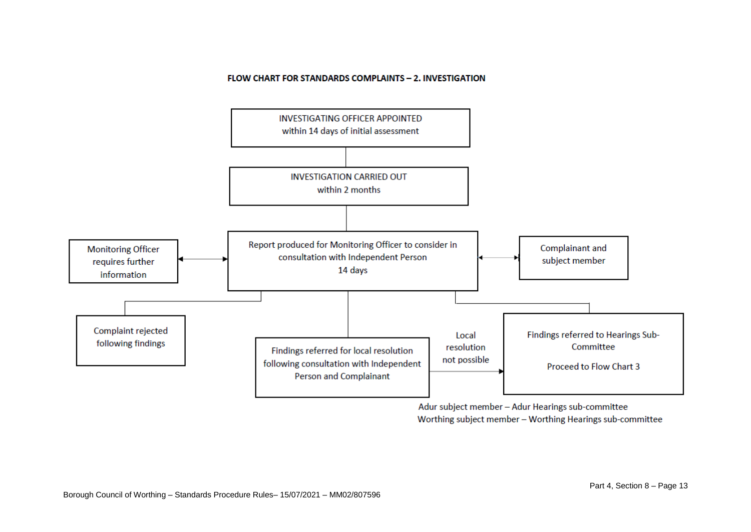#### FLOW CHART FOR STANDARDS COMPLAINTS - 2. INVESTIGATION



Adur subject member - Adur Hearings sub-committee Worthing subject member - Worthing Hearings sub-committee